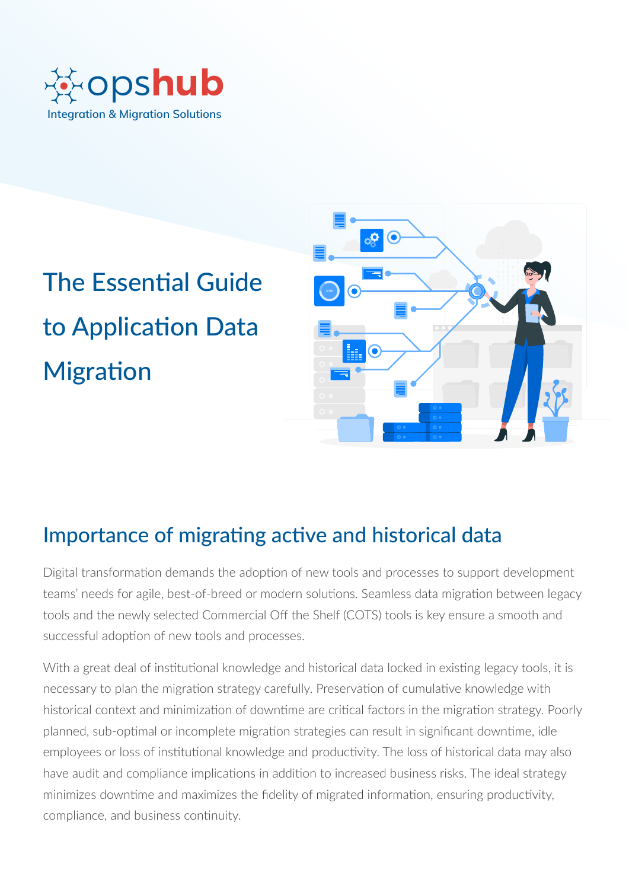

# The Essential Guide to Application Data **Migration**



# Importance of migrating active and historical data

Digital transformation demands the adoption of new tools and processes to support development teams' needs for agile, best-of-breed or modern solutions. Seamless data migration between legacy tools and the newly selected Commercial Off the Shelf (COTS) tools is key ensure a smooth and successful adoption of new tools and processes.

With a great deal of institutional knowledge and historical data locked in existing legacy tools, it is necessary to plan the migration strategy carefully. Preservation of cumulative knowledge with historical context and minimization of downtime are critical factors in the migration strategy. Poorly planned, sub-optimal or incomplete migration strategies can result in significant downtime, idle employees or loss of institutional knowledge and productivity. The loss of historical data may also have audit and compliance implications in addition to increased business risks. The ideal strategy minimizes downtime and maximizes the fidelity of migrated information, ensuring productivity, compliance, and business continuity.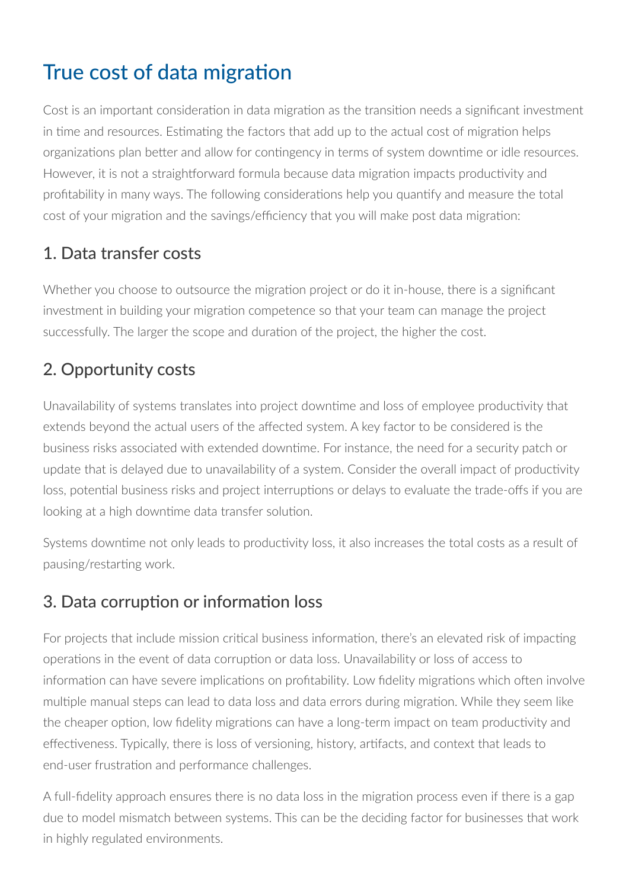# True cost of data migration

Cost is an important consideration in data migration as the transition needs a significant investment in time and resources. Estimating the factors that add up to the actual cost of migration helps organizations plan better and allow for contingency in terms of system downtime or idle resources. However, it is not a straightforward formula because data migration impacts productivity and profitability in many ways. The following considerations help you quantify and measure the total cost of your migration and the savings/efficiency that you will make post data migration:

### 1. Data transfer costs

Whether you choose to outsource the migration project or do it in-house, there is a significant investment in building your migration competence so that your team can manage the project successfully. The larger the scope and duration of the project, the higher the cost.

### 2. Opportunity costs

Unavailability of systems translates into project downtime and loss of employee productivity that extends beyond the actual users of the affected system. A key factor to be considered is the business risks associated with extended downtime. For instance, the need for a security patch or update that is delayed due to unavailability of a system. Consider the overall impact of productivity loss, potential business risks and project interruptions or delays to evaluate the trade-offs if you are looking at a high downtime data transfer solution.

Systems downtime not only leads to productivity loss, it also increases the total costs as a result of pausing/restarting work.

### 3. Data corruption or information loss

For projects that include mission critical business information, there's an elevated risk of impacting operations in the event of data corruption or data loss. Unavailability or loss of access to information can have severe implications on profitability. Low fidelity migrations which often involve multiple manual steps can lead to data loss and data errors during migration. While they seem like the cheaper option, low fidelity migrations can have a long-term impact on team productivity and effectiveness. Typically, there is loss of versioning, history, artifacts, and context that leads to end-user frustration and performance challenges.

A full-fidelity approach ensures there is no data loss in the migration process even if there is a gap due to model mismatch between systems. This can be the deciding factor for businesses that work in highly regulated environments.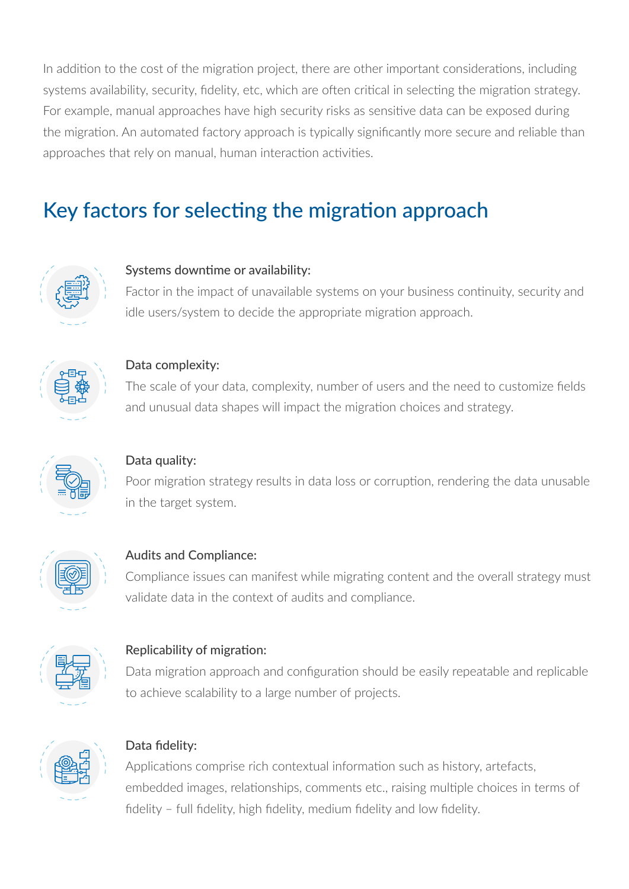In addition to the cost of the migration project, there are other important considerations, including systems availability, security, fidelity, etc, which are often critical in selecting the migration strategy. For example, manual approaches have high security risks as sensitive data can be exposed during the migration. An automated factory approach is typically significantly more secure and reliable than approaches that rely on manual, human interaction activities.

# Key factors for selecting the migration approach



#### Systems downtime or availability:

Factor in the impact of unavailable systems on your business continuity, security and idle users/system to decide the appropriate migration approach.



#### Data complexity:

The scale of your data, complexity, number of users and the need to customize fields and unusual data shapes will impact the migration choices and strategy.



#### Data quality:

Poor migration strategy results in data loss or corruption, rendering the data unusable in the target system.



#### Audits and Compliance:

Compliance issues can manifest while migrating content and the overall strategy must validate data in the context of audits and compliance.



#### Replicability of migration:

Data migration approach and configuration should be easily repeatable and replicable to achieve scalability to a large number of projects.



#### Data fidelity:

Applications comprise rich contextual information such as history, artefacts, embedded images, relationships, comments etc., raising multiple choices in terms of fidelity – full fidelity, high fidelity, medium fidelity and low fidelity.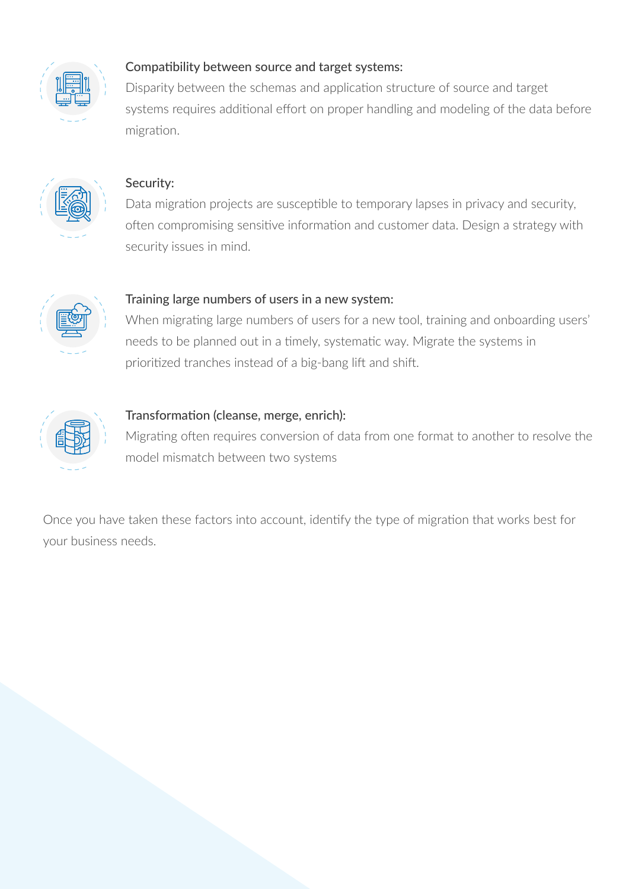

#### Compatibility between source and target systems:

Disparity between the schemas and application structure of source and target systems requires additional effort on proper handling and modeling of the data before migration.



#### Security:

Data migration projects are susceptible to temporary lapses in privacy and security, often compromising sensitive information and customer data. Design a strategy with security issues in mind.



#### Training large numbers of users in a new system:

When migrating large numbers of users for a new tool, training and onboarding users' needs to be planned out in a timely, systematic way. Migrate the systems in prioritized tranches instead of a big-bang lift and shift.



#### Transformation (cleanse, merge, enrich):

Migrating often requires conversion of data from one format to another to resolve the model mismatch between two systems

Once you have taken these factors into account, identify the type of migration that works best for your business needs.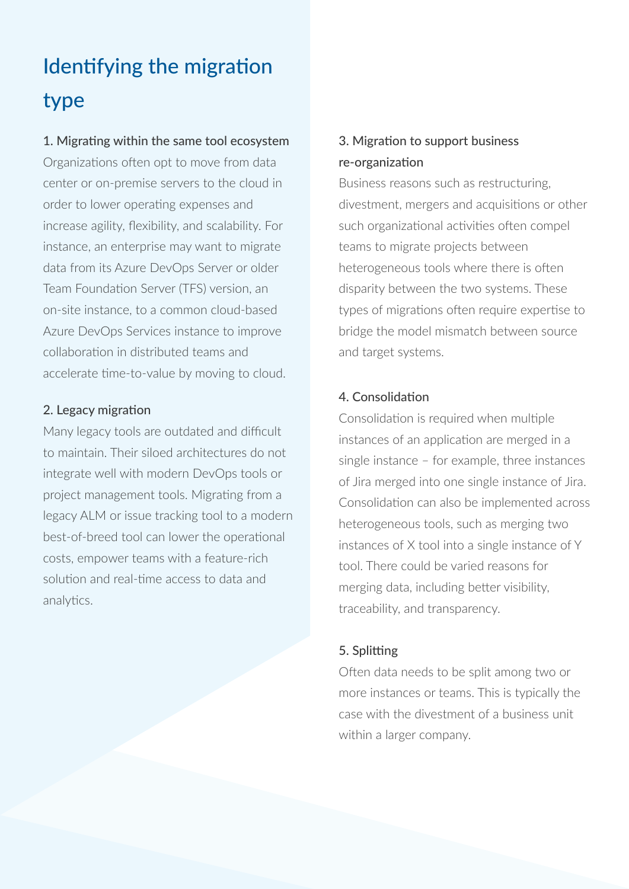# Identifying the migration type

#### 1. Migrating within the same tool ecosystem

Organizations often opt to move from data center or on-premise servers to the cloud in order to lower operating expenses and increase agility, flexibility, and scalability. For instance, an enterprise may want to migrate data from its Azure DevOps Server or older Team Foundation Server (TFS) version, an on-site instance, to a common cloud-based Azure DevOps Services instance to improve collaboration in distributed teams and accelerate time-to-value by moving to cloud.

#### 2. Legacy migration

Many legacy tools are outdated and difficult to maintain. Their siloed architectures do not integrate well with modern DevOps tools or project management tools. Migrating from a legacy ALM or issue tracking tool to a modern best-of-breed tool can lower the operational costs, empower teams with a feature-rich solution and real-time access to data and analytics.

#### 3. Migration to support business re-organization

Business reasons such as restructuring, divestment, mergers and acquisitions or other such organizational activities often compel teams to migrate projects between heterogeneous tools where there is often disparity between the two systems. These types of migrations often require expertise to bridge the model mismatch between source and target systems.

#### 4. Consolidation

Consolidation is required when multiple instances of an application are merged in a single instance – for example, three instances of Jira merged into one single instance of Jira. Consolidation can also be implemented across heterogeneous tools, such as merging two instances of X tool into a single instance of Y tool. There could be varied reasons for merging data, including better visibility, traceability, and transparency.

#### 5. Splitting

Often data needs to be split among two or more instances or teams. This is typically the case with the divestment of a business unit within a larger company.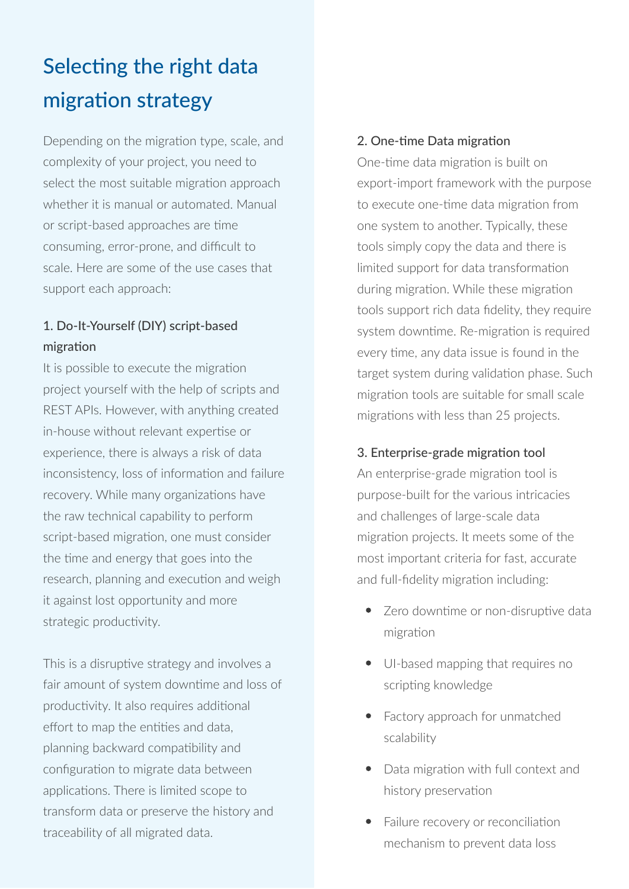# Selecting the right data migration strategy

Depending on the migration type, scale, and complexity of your project, you need to select the most suitable migration approach whether it is manual or automated. Manual or script-based approaches are time consuming, error-prone, and difficult to scale. Here are some of the use cases that support each approach:

#### 1. Do-It-Yourself (DIY) script-based migration

It is possible to execute the migration project yourself with the help of scripts and REST APIs. However, with anything created in-house without relevant expertise or experience, there is always a risk of data inconsistency, loss of information and failure recovery. While many organizations have the raw technical capability to perform script-based migration, one must consider the time and energy that goes into the research, planning and execution and weigh it against lost opportunity and more strategic productivity.

This is a disruptive strategy and involves a fair amount of system downtime and loss of productivity. It also requires additional effort to map the entities and data, planning backward compatibility and configuration to migrate data between applications. There is limited scope to transform data or preserve the history and traceability of all migrated data.

#### 2. One-time Data migration

One-time data migration is built on export-import framework with the purpose to execute one-time data migration from one system to another. Typically, these tools simply copy the data and there is limited support for data transformation during migration. While these migration tools support rich data fidelity, they require system downtime. Re-migration is required every time, any data issue is found in the target system during validation phase. Such migration tools are suitable for small scale migrations with less than 25 projects.

#### 3. Enterprise-grade migration tool

An enterprise-grade migration tool is purpose-built for the various intricacies and challenges of large-scale data migration projects. It meets some of the most important criteria for fast, accurate and full-fidelity migration including:

- Zero downtime or non-disruptive data migration
- UI-based mapping that requires no scripting knowledge
- Factory approach for unmatched scalability
- Data migration with full context and history preservation
- Failure recovery or reconciliation mechanism to prevent data loss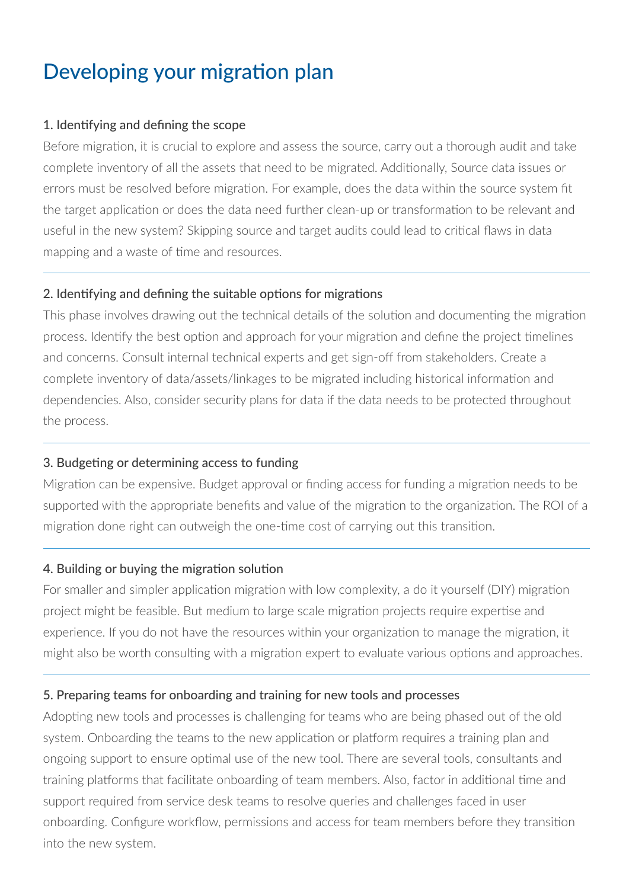# Developing your migration plan

#### 1. Identifying and defining the scope

Before migration, it is crucial to explore and assess the source, carry out a thorough audit and take complete inventory of all the assets that need to be migrated. Additionally, Source data issues or errors must be resolved before migration. For example, does the data within the source system fit the target application or does the data need further clean-up or transformation to be relevant and useful in the new system? Skipping source and target audits could lead to critical flaws in data mapping and a waste of time and resources.

#### 2. Identifying and defining the suitable options for migrations

This phase involves drawing out the technical details of the solution and documenting the migration process. Identify the best option and approach for your migration and define the project timelines and concerns. Consult internal technical experts and get sign-off from stakeholders. Create a complete inventory of data/assets/linkages to be migrated including historical information and dependencies. Also, consider security plans for data if the data needs to be protected throughout the process.

#### 3. Budgeting or determining access to funding

Migration can be expensive. Budget approval or finding access for funding a migration needs to be supported with the appropriate benefits and value of the migration to the organization. The ROI of a migration done right can outweigh the one-time cost of carrying out this transition.

#### 4. Building or buying the migration solution

For smaller and simpler application migration with low complexity, a do it yourself (DIY) migration project might be feasible. But medium to large scale migration projects require expertise and experience. If you do not have the resources within your organization to manage the migration, it might also be worth consulting with a migration expert to evaluate various options and approaches.

#### 5. Preparing teams for onboarding and training for new tools and processes

Adopting new tools and processes is challenging for teams who are being phased out of the old system. Onboarding the teams to the new application or platform requires a training plan and ongoing support to ensure optimal use of the new tool. There are several tools, consultants and training platforms that facilitate onboarding of team members. Also, factor in additional time and support required from service desk teams to resolve queries and challenges faced in user onboarding. Configure workflow, permissions and access for team members before they transition into the new system.